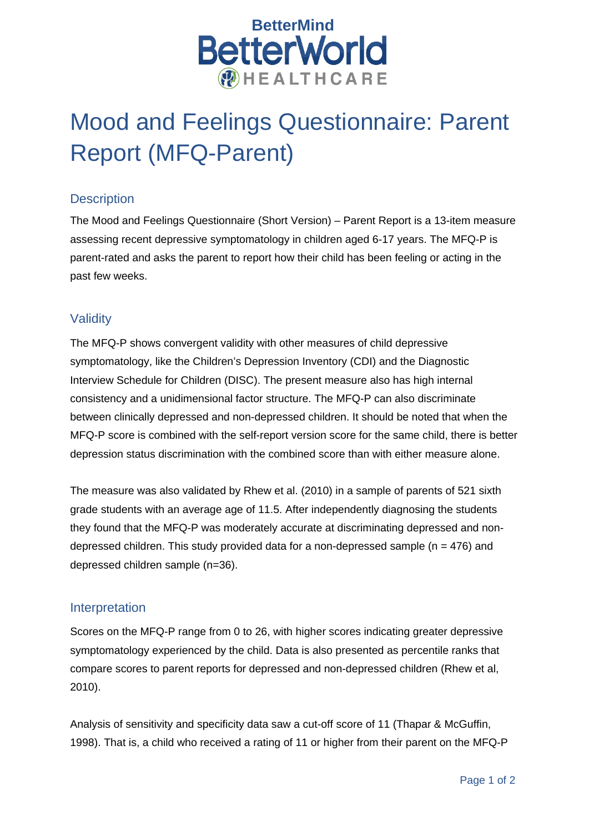

# Mood and Feelings Questionnaire: Parent Report (MFQ-Parent)

## **Description**

The Mood and Feelings Questionnaire (Short Version) – Parent Report is a 13-item measure assessing recent depressive symptomatology in children aged 6-17 years. The MFQ-P is parent-rated and asks the parent to report how their child has been feeling or acting in the past few weeks.

## **Validity**

The MFQ-P shows convergent validity with other measures of child depressive symptomatology, like the Children's Depression Inventory (CDI) and the Diagnostic Interview Schedule for Children (DISC). The present measure also has high internal consistency and a unidimensional factor structure. The MFQ-P can also discriminate between clinically depressed and non-depressed children. It should be noted that when the MFQ-P score is combined with the self-report version score for the same child, there is better depression status discrimination with the combined score than with either measure alone.

The measure was also validated by Rhew et al. (2010) in a sample of parents of 521 sixth grade students with an average age of 11.5. After independently diagnosing the students they found that the MFQ-P was moderately accurate at discriminating depressed and nondepressed children. This study provided data for a non-depressed sample ( $n = 476$ ) and depressed children sample (n=36).

## Interpretation

Scores on the MFQ-P range from 0 to 26, with higher scores indicating greater depressive symptomatology experienced by the child. Data is also presented as percentile ranks that compare scores to parent reports for depressed and non-depressed children (Rhew et al, 2010).

Analysis of sensitivity and specificity data saw a cut-off score of 11 (Thapar & McGuffin, 1998). That is, a child who received a rating of 11 or higher from their parent on the MFQ-P